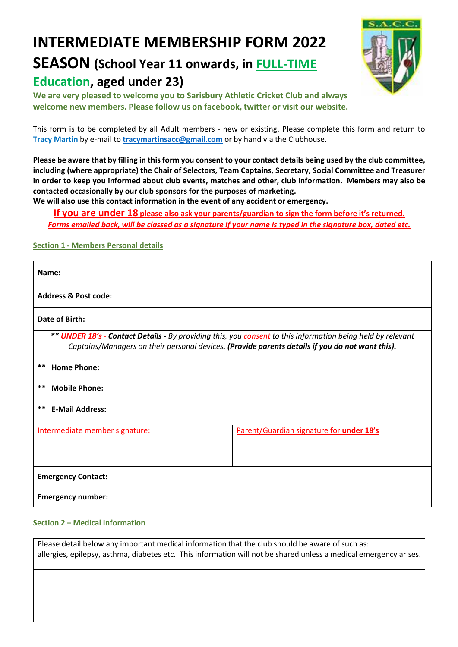# **INTERMEDIATE MEMBERSHIP FORM 2022**

# **SEASON (School Year 11 onwards, in FULL-TIME Education, aged under 23)**



**We are very pleased to welcome you to Sarisbury Athletic Cricket Club and always welcome new members. Please follow us on facebook, twitter or visit our website.**

This form is to be completed by all Adult members - new or existing. Please complete this form and return to **Tracy Martin** by e-mail to **tracymartinsacc@gmail.com** or by hand via the Clubhouse.

**Please be aware that by filling in this form you consent to your contact details being used by the club committee, including (where appropriate) the Chair of Selectors, Team Captains, Secretary, Social Committee and Treasurer in order to keep you informed about club events, matches and other, club information. Members may also be contacted occasionally by our club sponsors for the purposes of marketing.**

**We will also use this contact information in the event of any accident or emergency.**

**If you are under 18 please also ask your parents/guardian to sign the form before it's returned.** *Forms emailed back, will be classed as a signature if your name is typed in the signature box, dated etc.*

## **Section 1 - Members Personal details**

| Name:                           |                                                                                                                    |
|---------------------------------|--------------------------------------------------------------------------------------------------------------------|
| <b>Address &amp; Post code:</b> |                                                                                                                    |
| Date of Birth:                  |                                                                                                                    |
|                                 | ** <b>UNDER 18's - Contact Details -</b> By providing this, you consent to this information being held by relevant |
|                                 | Captains/Managers on their personal devices. (Provide parents details if you do not want this).                    |
| **<br><b>Home Phone:</b>        |                                                                                                                    |
| $***$<br><b>Mobile Phone:</b>   |                                                                                                                    |
| **<br><b>E-Mail Address:</b>    |                                                                                                                    |
| Intermediate member signature:  | Parent/Guardian signature for under 18's                                                                           |
|                                 |                                                                                                                    |
| <b>Emergency Contact:</b>       |                                                                                                                    |
| <b>Emergency number:</b>        |                                                                                                                    |

#### **Section 2 – Medical Information**

Please detail below any important medical information that the club should be aware of such as: allergies, epilepsy, asthma, diabetes etc. This information will not be shared unless a medical emergency arises.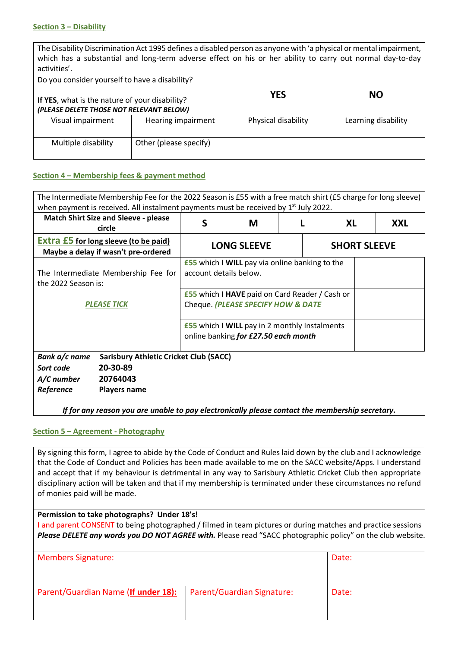#### **Section 3 – Disability**

The Disability Discrimination Act 1995 defines a disabled person as anyone with 'a physical or mental impairment, which has a substantial and long-term adverse effect on his or her ability to carry out normal day-to-day activities'.

| Do you consider yourself to have a disability?<br>If YES, what is the nature of your disability?<br>(PLEASE DELETE THOSE NOT RELEVANT BELOW) |                        | <b>YES</b>          | <b>NO</b>           |
|----------------------------------------------------------------------------------------------------------------------------------------------|------------------------|---------------------|---------------------|
| Visual impairment                                                                                                                            | Hearing impairment     | Physical disability | Learning disability |
| Multiple disability                                                                                                                          | Other (please specify) |                     |                     |

#### **Section 4 – Membership fees & payment method**

| The Intermediate Membership Fee for the 2022 Season is £55 with a free match shirt (£5 charge for long sleeve) |                                                                                              |                                                                                 |  |    |  |            |
|----------------------------------------------------------------------------------------------------------------|----------------------------------------------------------------------------------------------|---------------------------------------------------------------------------------|--|----|--|------------|
| when payment is received. All instalment payments must be received by 1 <sup>st</sup> July 2022.               |                                                                                              |                                                                                 |  |    |  |            |
| <b>Match Shirt Size and Sleeve - please</b><br>circle                                                          | S                                                                                            | M                                                                               |  | XL |  | <b>XXL</b> |
| <b>Extra £5 for long sleeve (to be paid)</b><br>Maybe a delay if wasn't pre-ordered                            |                                                                                              | <b>LONG SLEEVE</b><br><b>SHORT SLEEVE</b>                                       |  |    |  |            |
| The Intermediate Membership Fee for<br>the 2022 Season is:                                                     |                                                                                              | <b>£55</b> which I WILL pay via online banking to the<br>account details below. |  |    |  |            |
| <b>PLEASE TICK</b>                                                                                             | <b>£55</b> which I HAVE paid on Card Reader / Cash or<br>Cheque. (PLEASE SPECIFY HOW & DATE  |                                                                                 |  |    |  |            |
|                                                                                                                | <b>£55</b> which I WILL pay in 2 monthly Instalments<br>online banking for £27.50 each month |                                                                                 |  |    |  |            |
| Bank a/c name<br><b>Sarisbury Athletic Cricket Club (SACC)</b>                                                 |                                                                                              |                                                                                 |  |    |  |            |
| 20-30-89<br>Sort code                                                                                          |                                                                                              |                                                                                 |  |    |  |            |
| 20764043<br>A/C number                                                                                         |                                                                                              |                                                                                 |  |    |  |            |
| Reference<br><b>Players name</b>                                                                               |                                                                                              |                                                                                 |  |    |  |            |
| If for any reason you are unable to pay electronically please contact the membership secretary.                |                                                                                              |                                                                                 |  |    |  |            |

## **Section 5 – Agreement - Photography**

By signing this form, I agree to abide by the Code of Conduct and Rules laid down by the club and I acknowledge that the Code of Conduct and Policies has been made available to me on the SACC website/Apps. I understand and accept that if my behaviour is detrimental in any way to Sarisbury Athletic Cricket Club then appropriate disciplinary action will be taken and that if my membership is terminated under these circumstances no refund of monies paid will be made.

**Permission to take photographs? Under 18's!**

I and parent CONSENT to being photographed / filmed in team pictures or during matches and practice sessions *Please DELETE any words you DO NOT AGREE with.* Please read "SACC photographic policy" on the club website.

| <b>Members Signature:</b>           | Date:                      |       |
|-------------------------------------|----------------------------|-------|
| Parent/Guardian Name (If under 18): | Parent/Guardian Signature: | Date: |